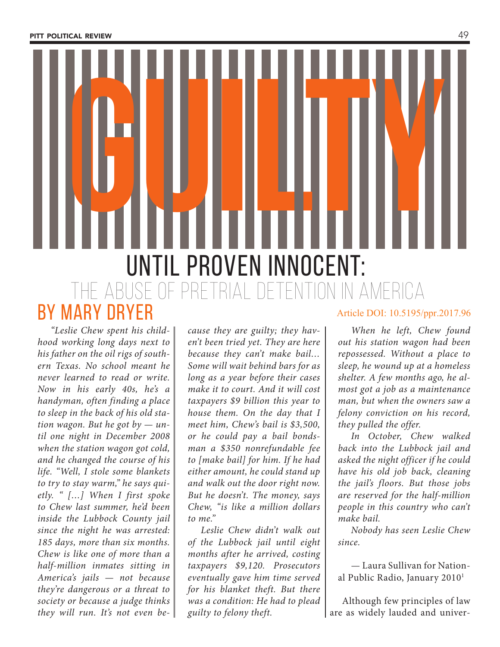**guilty** until proven innocent: the abuse of pretrial detention in america by mary dryer

*"Leslie Chew spent his childhood working long days next to his father on the oil rigs of southern Texas. No school meant he never learned to read or write. Now in his early 40s, he's a handyman, often finding a place to sleep in the back of his old station wagon. But he got by — until one night in December 2008 when the station wagon got cold, and he changed the course of his life. "Well, I stole some blankets to try to stay warm," he says quietly. " […] When I first spoke to Chew last summer, he'd been inside the Lubbock County jail since the night he was arrested: 185 days, more than six months. Chew is like one of more than a half-million inmates sitting in America's jails — not because they're dangerous or a threat to society or because a judge thinks they will run. It's not even be-*

*cause they are guilty; they haven't been tried yet. They are here because they can't make bail… Some will wait behind bars for as long as a year before their cases make it to court. And it will cost taxpayers \$9 billion this year to house them. On the day that I meet him, Chew's bail is \$3,500, or he could pay a bail bondsman a \$350 nonrefundable fee to [make bail] for him. If he had either amount, he could stand up and walk out the door right now. But he doesn't. The money, says Chew, "is like a million dollars to me."* 

*Leslie Chew didn't walk out of the Lubbock jail until eight months after he arrived, costing taxpayers \$9,120. Prosecutors eventually gave him time served for his blanket theft. But there was a condition: He had to plead guilty to felony theft.* 

### Article DOI: 10.5195/ppr.2017.96

*When he left, Chew found out his station wagon had been repossessed. Without a place to sleep, he wound up at a homeless shelter. A few months ago, he almost got a job as a maintenance man, but when the owners saw a felony conviction on his record, they pulled the offer.*

*In October, Chew walked back into the Lubbock jail and asked the night officer if he could have his old job back, cleaning the jail's floors. But those jobs are reserved for the half-million people in this country who can't make bail.* 

*Nobody has seen Leslie Chew since.*

— Laura Sullivan for National Public Radio, January 2010 1

Although few principles of law are as widely lauded and univer-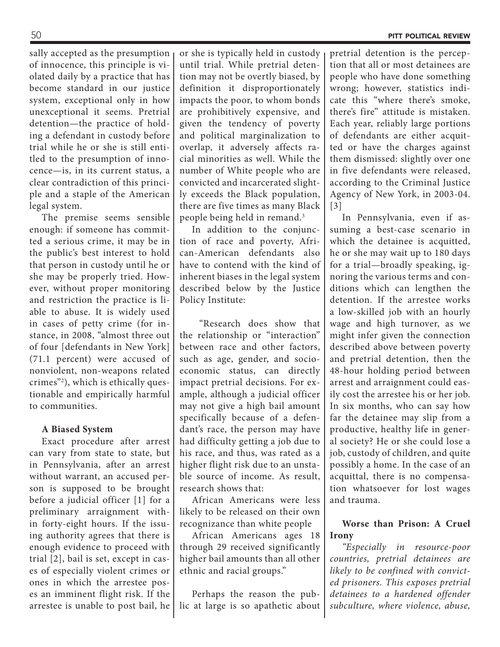sally accepted as the presumption of innocence, this principle is violated daily by a practice that has become standard in our justice system, exceptional only in how unexceptional it seems. Pretrial detention—the practice of holding a defendant in custody before trial while he or she is still entitled to the presumption of innocence—is, in its current status, a clear contradiction of this principle and a staple of the American legal system.

The premise seems sensible enough: if someone has committed a serious crime, it may be in the public's best interest to hold that person in custody until he or she may be properly tried. However, without proper monitoring and restriction the practice is liable to abuse. It is widely used in cases of petty crime (for instance, in 2008, "almost three out of four [defendants in New York] (71.1 percent) were accused of nonviolent, non-weapons related crimes"2 ), which is ethically questionable and empirically harmful to communities.

## **A Biased System**

Exact procedure after arrest can vary from state to state, but in Pennsylvania, after an arrest without warrant, an accused person is supposed to be brought before a judicial officer [1] for a preliminary arraignment within forty-eight hours. If the issuing authority agrees that there is enough evidence to proceed with trial [2], bail is set, except in cases of especially violent crimes or ones in which the arrestee poses an imminent flight risk. If the arrestee is unable to post bail, he

or she is typically held in custody until trial. While pretrial detention may not be overtly biased, by definition it disproportionately impacts the poor, to whom bonds are prohibitively expensive, and given the tendency of poverty and political marginalization to overlap, it adversely affects racial minorities as well. While the number of White people who are convicted and incarcerated slightly exceeds the Black population, there are five times as many Black people being held in remand.3

In addition to the conjunction of race and poverty, African-American defendants also have to contend with the kind of inherent biases in the legal system described below by the Justice Policy Institute:

 "Research does show that the relationship or "interaction" between race and other factors, such as age, gender, and socioeconomic status, can directly impact pretrial decisions. For example, although a judicial officer may not give a high bail amount specifically because of a defendant's race, the person may have had difficulty getting a job due to his race, and thus, was rated as a higher flight risk due to an unstable source of income. As result, research shows that:

African Americans were less likely to be released on their own recognizance than white people

African Americans ages 18 through 29 received significantly higher bail amounts than all other ethnic and racial groups."

Perhaps the reason the public at large is so apathetic about pretrial detention is the perception that all or most detainees are people who have done something wrong; however, statistics indicate this "where there's smoke, there's fire" attitude is mistaken. Each year, reliably large portions of defendants are either acquitted or have the charges against them dismissed: slightly over one in five defendants were released, according to the Criminal Justice Agency of New York, in 2003-04. [3]

In Pennsylvania, even if assuming a best-case scenario in which the detainee is acquitted, he or she may wait up to 180 days for a trial—broadly speaking, ignoring the various terms and conditions which can lengthen the detention. If the arrestee works a low-skilled job with an hourly wage and high turnover, as we might infer given the connection described above between poverty and pretrial detention, then the 48-hour holding period between arrest and arraignment could easily cost the arrestee his or her job. In six months, who can say how far the detainee may slip from a productive, healthy life in general society? He or she could lose a job, custody of children, and quite possibly a home. In the case of an acquittal, there is no compensation whatsoever for lost wages and trauma.

# **Worse than Prison: A Cruel Irony**

*"Especially in resource-poor countries, pretrial detainees are likely to be confined with convicted prisoners. This exposes pretrial detainees to a hardened offender subculture, where violence, abuse,*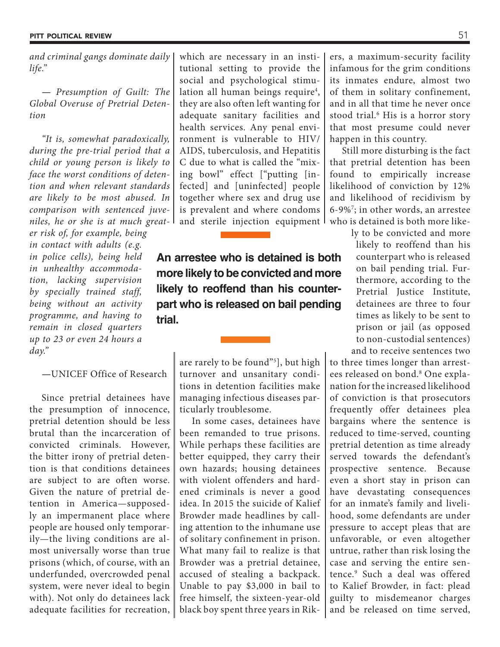*and criminal gangs dominate daily life."*

*— Presumption of Guilt: The Global Overuse of Pretrial Detention*

*"It is, somewhat paradoxically, during the pre-trial period that a child or young person is likely to face the worst conditions of detention and when relevant standards are likely to be most abused. In comparison with sentenced juveniles, he or she is at much great-*

*er risk of, for example, being in contact with adults (e.g. in police cells), being held in unhealthy accommodation, lacking supervision by specially trained staff, being without an activity programme, and having to remain in closed quarters up to 23 or even 24 hours a day."* 

*—*UNICEF Office of Research

Since pretrial detainees have the presumption of innocence, pretrial detention should be less brutal than the incarceration of convicted criminals. However, the bitter irony of pretrial detention is that conditions detainees are subject to are often worse. Given the nature of pretrial detention in America—supposedly an impermanent place where people are housed only temporarily—the living conditions are almost universally worse than true prisons (which, of course, with an underfunded, overcrowded penal system, were never ideal to begin with). Not only do detainees lack adequate facilities for recreation, which are necessary in an institutional setting to provide the social and psychological stimulation all human beings require<sup>4</sup>, they are also often left wanting for adequate sanitary facilities and health services. Any penal environment is vulnerable to HIV/ AIDS, tuberculosis, and Hepatitis C due to what is called the "mixing bowl" effect ["putting [infected] and [uninfected] people together where sex and drug use is prevalent and where condoms and sterile injection equipment

**An arrestee who is detained is both more likely to be convicted and more likely to reoffend than his counterpart who is released on bail pending trial.**

> are rarely to be found"5 ], but high turnover and unsanitary conditions in detention facilities make managing infectious diseases particularly troublesome.

> In some cases, detainees have been remanded to true prisons. While perhaps these facilities are better equipped, they carry their own hazards; housing detainees with violent offenders and hardened criminals is never a good idea. In 2015 the suicide of Kalief Browder made headlines by calling attention to the inhumane use of solitary confinement in prison. What many fail to realize is that Browder was a pretrial detainee, accused of stealing a backpack. Unable to pay \$3,000 in bail to free himself, the sixteen-year-old black boy spent three years in Rik

ers, a maximum-security facility infamous for the grim conditions its inmates endure, almost two of them in solitary confinement, and in all that time he never once stood trial.<sup>6</sup> His is a horror story that most presume could never happen in this country.

Still more disturbing is the fact that pretrial detention has been found to empirically increase likelihood of conviction by 12% and likelihood of recidivism by 6-9%7 ; in other words, an arrestee who is detained is both more like-

> ly to be convicted and more likely to reoffend than his counterpart who is released on bail pending trial. Furthermore, according to the Pretrial Justice Institute, detainees are three to four times as likely to be sent to prison or jail (as opposed to non-custodial sentences) and to receive sentences two

to three times longer than arrestees released on bond.<sup>8</sup> One explanation for the increased likelihood of conviction is that prosecutors frequently offer detainees plea bargains where the sentence is reduced to time-served, counting pretrial detention as time already served towards the defendant's prospective sentence. Because even a short stay in prison can have devastating consequences for an inmate's family and livelihood, some defendants are under pressure to accept pleas that are unfavorable, or even altogether untrue, rather than risk losing the case and serving the entire sentence.9 Such a deal was offered to Kalief Browder, in fact: plead guilty to misdemeanor charges and be released on time served,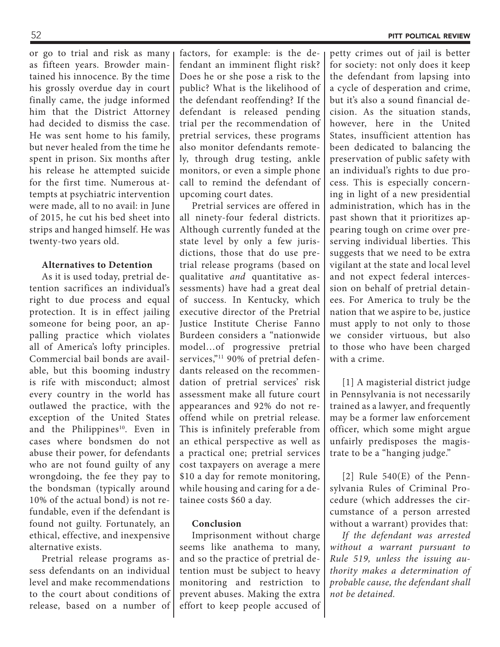or go to trial and risk as many as fifteen years. Browder maintained his innocence. By the time his grossly overdue day in court finally came, the judge informed him that the District Attorney had decided to dismiss the case. He was sent home to his family, but never healed from the time he spent in prison. Six months after his release he attempted suicide for the first time. Numerous attempts at psychiatric intervention were made, all to no avail: in June of 2015, he cut his bed sheet into strips and hanged himself. He was twenty-two years old.

### **Alternatives to Detention**

As it is used today, pretrial detention sacrifices an individual's right to due process and equal protection. It is in effect jailing someone for being poor, an appalling practice which violates all of America's lofty principles. Commercial bail bonds are available, but this booming industry is rife with misconduct; almost every country in the world has outlawed the practice, with the exception of the United States and the Philippines<sup>10</sup>. Even in cases where bondsmen do not abuse their power, for defendants who are not found guilty of any wrongdoing, the fee they pay to the bondsman (typically around 10% of the actual bond) is not refundable, even if the defendant is found not guilty. Fortunately, an ethical, effective, and inexpensive alternative exists.

Pretrial release programs assess defendants on an individual level and make recommendations to the court about conditions of release, based on a number of factors, for example: is the defendant an imminent flight risk? Does he or she pose a risk to the public? What is the likelihood of the defendant reoffending? If the defendant is released pending trial per the recommendation of pretrial services, these programs also monitor defendants remotely, through drug testing, ankle monitors, or even a simple phone call to remind the defendant of upcoming court dates.

Pretrial services are offered in all ninety-four federal districts. Although currently funded at the state level by only a few jurisdictions, those that do use pretrial release programs (based on qualitative *and* quantitative assessments) have had a great deal of success. In Kentucky, which executive director of the Pretrial Justice Institute Cherise Fanno Burdeen considers a "nationwide model…of progressive pretrial services,"<sup>11</sup> 90% of pretrial defendants released on the recommendation of pretrial services' risk assessment make all future court appearances and 92% do not reoffend while on pretrial release. This is infinitely preferable from an ethical perspective as well as a practical one; pretrial services cost taxpayers on average a mere \$10 a day for remote monitoring, while housing and caring for a detainee costs \$60 a day.

#### **Conclusion**

Imprisonment without charge seems like anathema to many, and so the practice of pretrial detention must be subject to heavy monitoring and restriction to prevent abuses. Making the extra effort to keep people accused of petty crimes out of jail is better for society: not only does it keep the defendant from lapsing into a cycle of desperation and crime, but it's also a sound financial decision. As the situation stands, however, here in the United States, insufficient attention has been dedicated to balancing the preservation of public safety with an individual's rights to due process. This is especially concerning in light of a new presidential administration, which has in the past shown that it prioritizes appearing tough on crime over preserving individual liberties. This suggests that we need to be extra vigilant at the state and local level and not expect federal intercession on behalf of pretrial detainees. For America to truly be the nation that we aspire to be, justice must apply to not only to those we consider virtuous, but also to those who have been charged with a crime.

[1] A magisterial district judge in Pennsylvania is not necessarily trained as a lawyer, and frequently may be a former law enforcement officer, which some might argue unfairly predisposes the magistrate to be a "hanging judge."

[2] Rule 540(E) of the Pennsylvania Rules of Criminal Procedure (which addresses the circumstance of a person arrested without a warrant) provides that:

*If the defendant was arrested without a warrant pursuant to Rule 519, unless the issuing authority makes a determination of probable cause, the defendant shall not be detained.*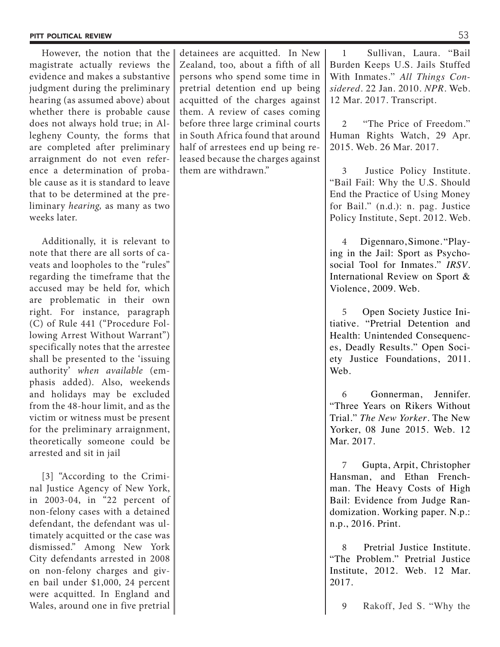However, the notion that the magistrate actually reviews the evidence and makes a substantive judgment during the preliminary hearing (as assumed above) about whether there is probable cause does not always hold true; in Allegheny County, the forms that are completed after preliminary arraignment do not even reference a determination of probable cause as it is standard to leave that to be determined at the preliminary *hearing,* as many as two weeks later.

Additionally, it is relevant to note that there are all sorts of caveats and loopholes to the "rules" regarding the timeframe that the accused may be held for, which are problematic in their own right. For instance, paragraph (C) of Rule 441 ("Procedure Following Arrest Without Warrant") specifically notes that the arrestee shall be presented to the 'issuing authority' *when available* (emphasis added). Also, weekends and holidays may be excluded from the 48-hour limit, and as the victim or witness must be present for the preliminary arraignment, theoretically someone could be arrested and sit in jail

[3] "According to the Criminal Justice Agency of New York, in 2003-04, in "22 percent of non-felony cases with a detained defendant, the defendant was ultimately acquitted or the case was dismissed." Among New York City defendants arrested in 2008 on non-felony charges and given bail under \$1,000, 24 percent were acquitted. In England and Wales, around one in five pretrial

detainees are acquitted. In New Zealand, too, about a fifth of all persons who spend some time in pretrial detention end up being acquitted of the charges against them. A review of cases coming before three large criminal courts in South Africa found that around half of arrestees end up being released because the charges against them are withdrawn."

1 Sullivan, Laura. "Bail Burden Keeps U.S. Jails Stuffed With Inmates." *All Things Considered*. 22 Jan. 2010. *NPR*. Web. 12 Mar. 2017. Transcript.

2 "The Price of Freedom." Human Rights Watch, 29 Apr. 2015. Web. 26 Mar. 2017.

3 Justice Policy Institute. "Bail Fail: Why the U.S. Should End the Practice of Using Money for Bail." (n.d.): n. pag. Justice Policy Institute, Sept. 2012. Web.

4 Digennaro, Simone. "Playing in the Jail: Sport as Psychosocial Tool for Inmates." *IRSV*. International Review on Sport & Violence, 2009. Web.

5 Open Society Justice Initiative. "Pretrial Detention and Health: Unintended Consequences, Deadly Results." Open Society Justice Foundations, 2011. Web.

6 Gonnerman, Jennifer. "Three Years on Rikers Without Trial." *The New Yorker*. The New Yorker, 08 June 2015. Web. 12 Mar. 2017.

7 Gupta, Arpit, Christopher Hansman, and Ethan Frenchman. The Heavy Costs of High Bail: Evidence from Judge Randomization. Working paper. N.p.: n.p., 2016. Print.

8 Pretrial Justice Institute. "The Problem." Pretrial Justice Institute, 2012. Web. 12 Mar. 2017.

9 Rakoff, Jed S. "Why the